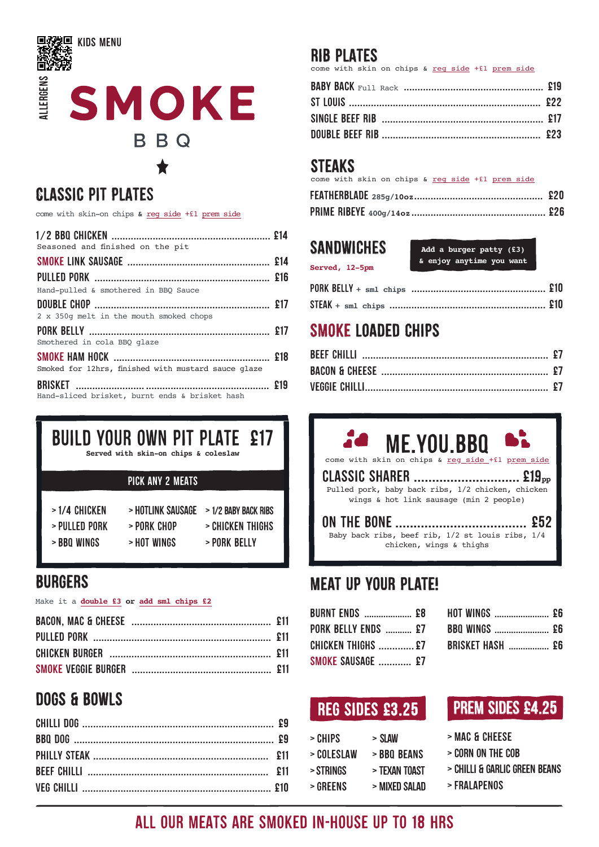

## **GLASSIC PIT PLATES**

come with skin-on chips & reg side +£1 prem side

| Seasoned and finished on the pit                    |  |
|-----------------------------------------------------|--|
|                                                     |  |
|                                                     |  |
| Hand-pulled & smothered in BBO Sauce                |  |
|                                                     |  |
| 2 x 350q melt in the mouth smoked chops             |  |
|                                                     |  |
| Smothered in cola BBO glaze                         |  |
|                                                     |  |
| Smoked for 12hrs, finished with mustard sauce glaze |  |
|                                                     |  |
| Hand-sliced brisket, burnt ends & brisket hash      |  |

**BUILD YOUR OWN PIT PLATE £17** 

Served with skin-on chips & coleslaw

#### **PICK ANY 2 MEATS**

>1/4 CHICKEN

> BBO WINGS

- > HOTLINK SAUSAGE > 1/2 BABY BACK RIBS
- $>$  PIII I FN PORK
- > PORK CHOP
- > HOT WINGS > PORK BELLY

> CHICKEN THIGHS

#### **BURGERS**

#### Make it a double £3 or add sml chips £2

## **DOGS & BOWLS**

#### **RIB PLATES**

come with skin on chips & reg side +f1 prem side

## **STEAKS**

come with skin on chips & reg side +f1 prem side

#### **SANDWICHES**

Served, 12-5pm

Add a burger patty (£3) & enjoy anytime you want

# **SMOKE LOADED CHIPS**

# **ME YOU BBO**

come with skin on +£1 prem CLASSIC SHARER ...........................  $\mathbb{E}19_{\text{pp}}$ 

Pulled pork, baby back ribs, 1/2 chicken, chicken wings & hot link sausage (min 2 people)

Baby back ribs, beef rib,  $1/2$  st louis ribs,  $1/4$ chicken, wings & thighs

# **MEAT UP YOUR PLATE!**

| <b>BURNT ENDS  £8</b>      |  |
|----------------------------|--|
| <b>PORK BELLY ENDS  £7</b> |  |
| <b>CHICKEN THIGHS  £7</b>  |  |
| <b>SMOKE SAUSAGE  £7</b>   |  |

| <b>HOT WINGS  £6</b>    |  |
|-------------------------|--|
| <b>BBQ WINGS  £6</b>    |  |
| <b>BRISKET HASH  £6</b> |  |

## **REG SIDES £3.25**

| > CHIPS    | > SLAW               |
|------------|----------------------|
| > COLESLAW | <b>&gt;BBO BEANS</b> |
| > STRINGS  | > TEXAN TOAST        |
| > GREENS   | > MIXFD SAI AD       |

- > MAC & CHEESE
- > CORN ON THE COB
- > CHILLI & GARLIC GREEN BEANS
- >FRALAPENOS

# ALL OUR MEATS ARE SMOKED IN-HOUSE UP TO 18 HRS